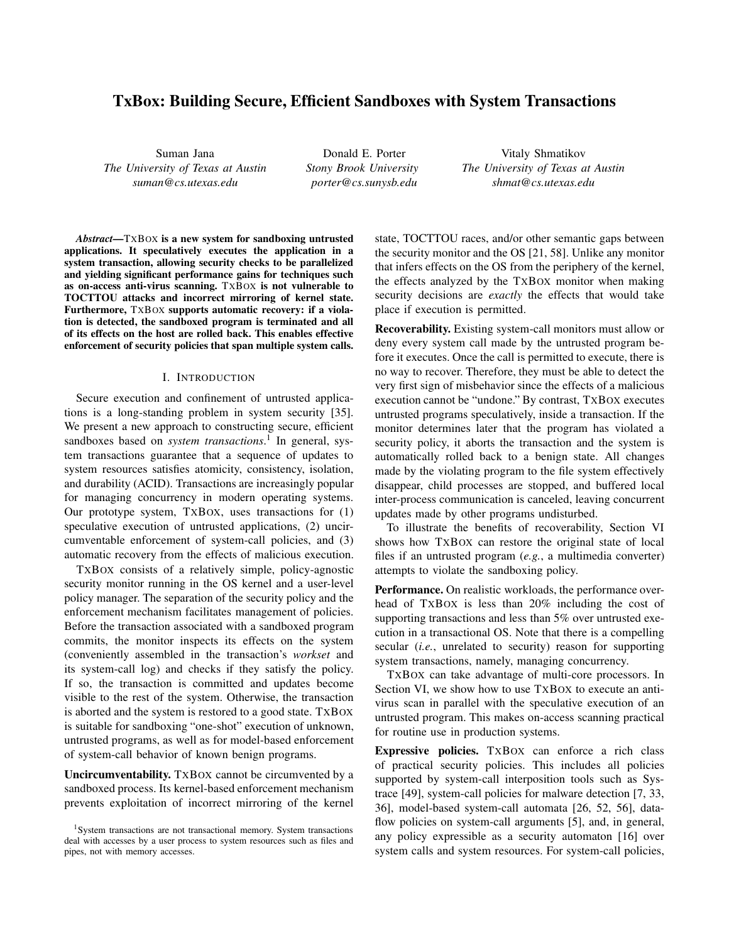# **TxBox: Building Secure, Efficient Sandboxes with System Transactions**

Suman Jana *The University of Texas at Austin suman@cs.utexas.edu*

Donald E. Porter *Stony Brook University porter@cs.sunysb.edu*

Vitaly Shmatikov *The University of Texas at Austin shmat@cs.utexas.edu*

*Abstract***—**TXBOX **is a new system for sandboxing untrusted applications. It speculatively executes the application in a system transaction, allowing security checks to be parallelized and yielding significant performance gains for techniques such as on-access anti-virus scanning.** TXBOX **is not vulnerable to TOCTTOU attacks and incorrect mirroring of kernel state. Furthermore,** TXBOX **supports automatic recovery: if a violation is detected, the sandboxed program is terminated and all of its effects on the host are rolled back. This enables effective enforcement of security policies that span multiple system calls.**

## I. INTRODUCTION

Secure execution and confinement of untrusted applications is a long-standing problem in system security [35]. We present a new approach to constructing secure, efficient sandboxes based on *system transactions*. 1 In general, system transactions guarantee that a sequence of updates to system resources satisfies atomicity, consistency, isolation, and durability (ACID). Transactions are increasingly popular for managing concurrency in modern operating systems. Our prototype system, TXBOX, uses transactions for (1) speculative execution of untrusted applications, (2) uncircumventable enforcement of system-call policies, and (3) automatic recovery from the effects of malicious execution.

TXBOX consists of a relatively simple, policy-agnostic security monitor running in the OS kernel and a user-level policy manager. The separation of the security policy and the enforcement mechanism facilitates management of policies. Before the transaction associated with a sandboxed program commits, the monitor inspects its effects on the system (conveniently assembled in the transaction's *workset* and its system-call log) and checks if they satisfy the policy. If so, the transaction is committed and updates become visible to the rest of the system. Otherwise, the transaction is aborted and the system is restored to a good state. TXBOX is suitable for sandboxing "one-shot" execution of unknown, untrusted programs, as well as for model-based enforcement of system-call behavior of known benign programs.

**Uncircumventability.** TXBOX cannot be circumvented by a sandboxed process. Its kernel-based enforcement mechanism prevents exploitation of incorrect mirroring of the kernel state, TOCTTOU races, and/or other semantic gaps between the security monitor and the OS [21, 58]. Unlike any monitor that infers effects on the OS from the periphery of the kernel, the effects analyzed by the TXBOX monitor when making security decisions are *exactly* the effects that would take place if execution is permitted.

**Recoverability.** Existing system-call monitors must allow or deny every system call made by the untrusted program before it executes. Once the call is permitted to execute, there is no way to recover. Therefore, they must be able to detect the very first sign of misbehavior since the effects of a malicious execution cannot be "undone." By contrast, TXBOX executes untrusted programs speculatively, inside a transaction. If the monitor determines later that the program has violated a security policy, it aborts the transaction and the system is automatically rolled back to a benign state. All changes made by the violating program to the file system effectively disappear, child processes are stopped, and buffered local inter-process communication is canceled, leaving concurrent updates made by other programs undisturbed.

To illustrate the benefits of recoverability, Section VI shows how TXBOX can restore the original state of local files if an untrusted program (*e.g.*, a multimedia converter) attempts to violate the sandboxing policy.

**Performance.** On realistic workloads, the performance overhead of TXBOX is less than 20% including the cost of supporting transactions and less than 5% over untrusted execution in a transactional OS. Note that there is a compelling secular (*i.e.*, unrelated to security) reason for supporting system transactions, namely, managing concurrency.

TXBOX can take advantage of multi-core processors. In Section VI, we show how to use TXBOX to execute an antivirus scan in parallel with the speculative execution of an untrusted program. This makes on-access scanning practical for routine use in production systems.

**Expressive policies.** TXBOX can enforce a rich class of practical security policies. This includes all policies supported by system-call interposition tools such as Systrace [49], system-call policies for malware detection [7, 33, 36], model-based system-call automata [26, 52, 56], dataflow policies on system-call arguments [5], and, in general, any policy expressible as a security automaton [16] over system calls and system resources. For system-call policies,

<sup>1</sup>System transactions are not transactional memory. System transactions deal with accesses by a user process to system resources such as files and pipes, not with memory accesses.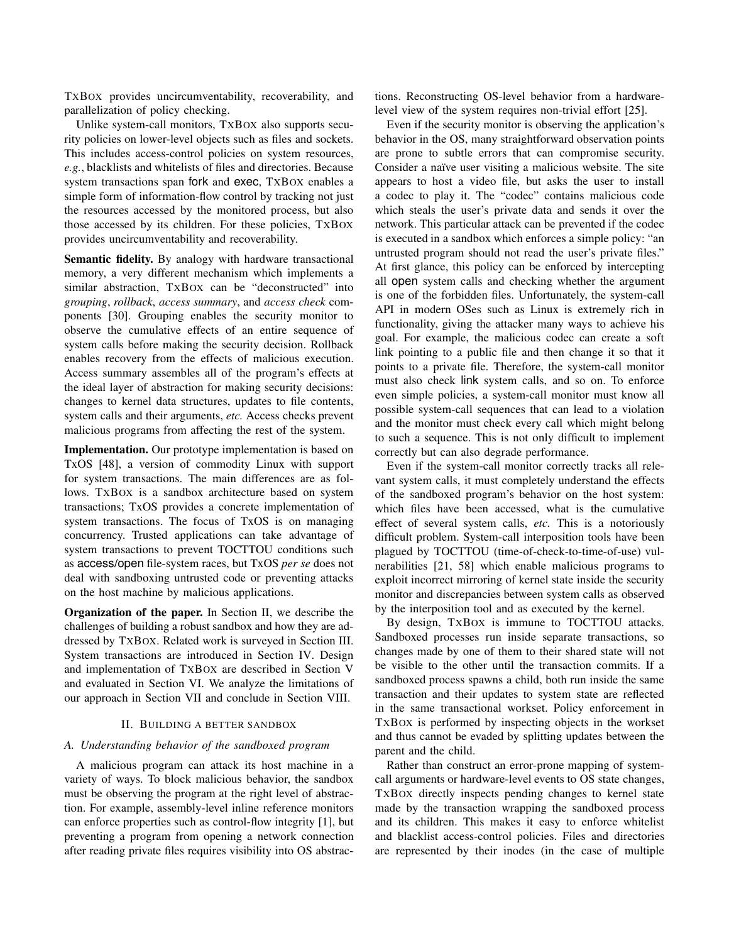TXBOX provides uncircumventability, recoverability, and parallelization of policy checking.

Unlike system-call monitors, TXBOX also supports security policies on lower-level objects such as files and sockets. This includes access-control policies on system resources, *e.g.*, blacklists and whitelists of files and directories. Because system transactions span fork and exec, TXBOX enables a simple form of information-flow control by tracking not just the resources accessed by the monitored process, but also those accessed by its children. For these policies, TXBOX provides uncircumventability and recoverability.

**Semantic fidelity.** By analogy with hardware transactional memory, a very different mechanism which implements a similar abstraction, TXBOX can be "deconstructed" into *grouping*, *rollback*, *access summary*, and *access check* components [30]. Grouping enables the security monitor to observe the cumulative effects of an entire sequence of system calls before making the security decision. Rollback enables recovery from the effects of malicious execution. Access summary assembles all of the program's effects at the ideal layer of abstraction for making security decisions: changes to kernel data structures, updates to file contents, system calls and their arguments, *etc.* Access checks prevent malicious programs from affecting the rest of the system.

**Implementation.** Our prototype implementation is based on TxOS [48], a version of commodity Linux with support for system transactions. The main differences are as follows. TXBOX is a sandbox architecture based on system transactions; TxOS provides a concrete implementation of system transactions. The focus of TxOS is on managing concurrency. Trusted applications can take advantage of system transactions to prevent TOCTTOU conditions such as access/open file-system races, but TxOS *per se* does not deal with sandboxing untrusted code or preventing attacks on the host machine by malicious applications.

**Organization of the paper.** In Section II, we describe the challenges of building a robust sandbox and how they are addressed by TXBOX. Related work is surveyed in Section III. System transactions are introduced in Section IV. Design and implementation of TXBOX are described in Section V and evaluated in Section VI. We analyze the limitations of our approach in Section VII and conclude in Section VIII.

## II. BUILDING A BETTER SANDBOX

## *A. Understanding behavior of the sandboxed program*

A malicious program can attack its host machine in a variety of ways. To block malicious behavior, the sandbox must be observing the program at the right level of abstraction. For example, assembly-level inline reference monitors can enforce properties such as control-flow integrity [1], but preventing a program from opening a network connection after reading private files requires visibility into OS abstractions. Reconstructing OS-level behavior from a hardwarelevel view of the system requires non-trivial effort [25].

Even if the security monitor is observing the application's behavior in the OS, many straightforward observation points are prone to subtle errors that can compromise security. Consider a naïve user visiting a malicious website. The site appears to host a video file, but asks the user to install a codec to play it. The "codec" contains malicious code which steals the user's private data and sends it over the network. This particular attack can be prevented if the codec is executed in a sandbox which enforces a simple policy: "an untrusted program should not read the user's private files." At first glance, this policy can be enforced by intercepting all open system calls and checking whether the argument is one of the forbidden files. Unfortunately, the system-call API in modern OSes such as Linux is extremely rich in functionality, giving the attacker many ways to achieve his goal. For example, the malicious codec can create a soft link pointing to a public file and then change it so that it points to a private file. Therefore, the system-call monitor must also check link system calls, and so on. To enforce even simple policies, a system-call monitor must know all possible system-call sequences that can lead to a violation and the monitor must check every call which might belong to such a sequence. This is not only difficult to implement correctly but can also degrade performance.

Even if the system-call monitor correctly tracks all relevant system calls, it must completely understand the effects of the sandboxed program's behavior on the host system: which files have been accessed, what is the cumulative effect of several system calls, *etc.* This is a notoriously difficult problem. System-call interposition tools have been plagued by TOCTTOU (time-of-check-to-time-of-use) vulnerabilities [21, 58] which enable malicious programs to exploit incorrect mirroring of kernel state inside the security monitor and discrepancies between system calls as observed by the interposition tool and as executed by the kernel.

By design, TXBOX is immune to TOCTTOU attacks. Sandboxed processes run inside separate transactions, so changes made by one of them to their shared state will not be visible to the other until the transaction commits. If a sandboxed process spawns a child, both run inside the same transaction and their updates to system state are reflected in the same transactional workset. Policy enforcement in TXBOX is performed by inspecting objects in the workset and thus cannot be evaded by splitting updates between the parent and the child.

Rather than construct an error-prone mapping of systemcall arguments or hardware-level events to OS state changes, TXBOX directly inspects pending changes to kernel state made by the transaction wrapping the sandboxed process and its children. This makes it easy to enforce whitelist and blacklist access-control policies. Files and directories are represented by their inodes (in the case of multiple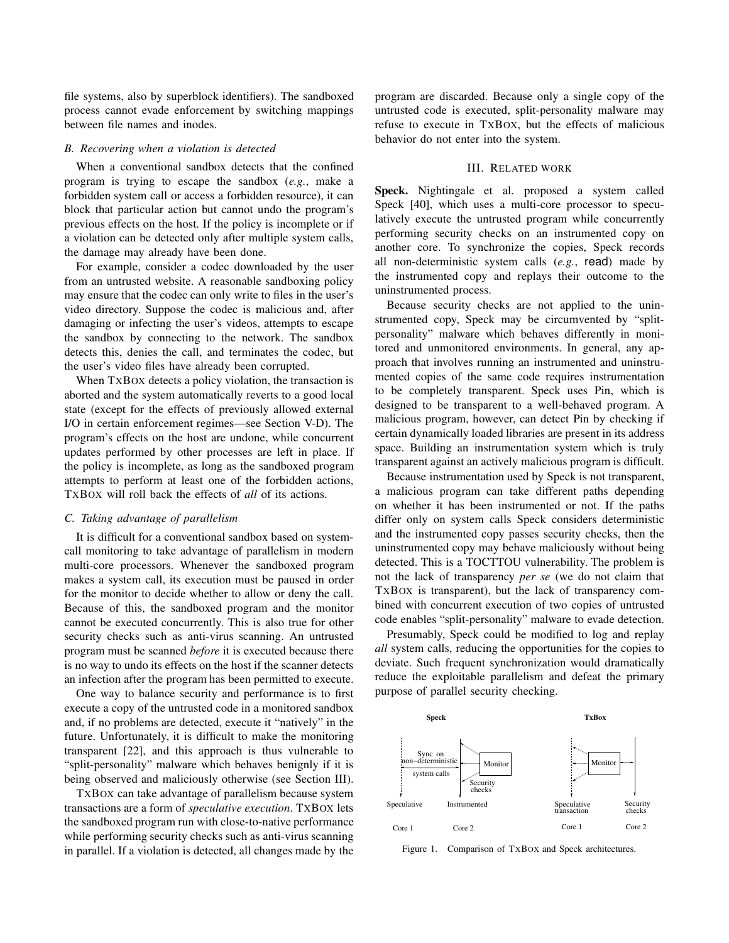file systems, also by superblock identifiers). The sandboxed process cannot evade enforcement by switching mappings between file names and inodes.

#### *B. Recovering when a violation is detected*

When a conventional sandbox detects that the confined program is trying to escape the sandbox (*e.g.*, make a forbidden system call or access a forbidden resource), it can block that particular action but cannot undo the program's previous effects on the host. If the policy is incomplete or if a violation can be detected only after multiple system calls, the damage may already have been done.

For example, consider a codec downloaded by the user from an untrusted website. A reasonable sandboxing policy may ensure that the codec can only write to files in the user's video directory. Suppose the codec is malicious and, after damaging or infecting the user's videos, attempts to escape the sandbox by connecting to the network. The sandbox detects this, denies the call, and terminates the codec, but the user's video files have already been corrupted.

When TXBOX detects a policy violation, the transaction is aborted and the system automatically reverts to a good local state (except for the effects of previously allowed external I/O in certain enforcement regimes—see Section V-D). The program's effects on the host are undone, while concurrent updates performed by other processes are left in place. If the policy is incomplete, as long as the sandboxed program attempts to perform at least one of the forbidden actions, TXBOX will roll back the effects of *all* of its actions.

## *C. Taking advantage of parallelism*

It is difficult for a conventional sandbox based on systemcall monitoring to take advantage of parallelism in modern multi-core processors. Whenever the sandboxed program makes a system call, its execution must be paused in order for the monitor to decide whether to allow or deny the call. Because of this, the sandboxed program and the monitor cannot be executed concurrently. This is also true for other security checks such as anti-virus scanning. An untrusted program must be scanned *before* it is executed because there is no way to undo its effects on the host if the scanner detects an infection after the program has been permitted to execute.

One way to balance security and performance is to first execute a copy of the untrusted code in a monitored sandbox and, if no problems are detected, execute it "natively" in the future. Unfortunately, it is difficult to make the monitoring transparent [22], and this approach is thus vulnerable to "split-personality" malware which behaves benignly if it is being observed and maliciously otherwise (see Section III).

TXBOX can take advantage of parallelism because system transactions are a form of *speculative execution*. TXBOX lets the sandboxed program run with close-to-native performance while performing security checks such as anti-virus scanning in parallel. If a violation is detected, all changes made by the program are discarded. Because only a single copy of the untrusted code is executed, split-personality malware may refuse to execute in TXBOX, but the effects of malicious behavior do not enter into the system.

## III. RELATED WORK

**Speck.** Nightingale et al. proposed a system called Speck [40], which uses a multi-core processor to speculatively execute the untrusted program while concurrently performing security checks on an instrumented copy on another core. To synchronize the copies, Speck records all non-deterministic system calls (*e.g.*, read) made by the instrumented copy and replays their outcome to the uninstrumented process.

Because security checks are not applied to the uninstrumented copy, Speck may be circumvented by "splitpersonality" malware which behaves differently in monitored and unmonitored environments. In general, any approach that involves running an instrumented and uninstrumented copies of the same code requires instrumentation to be completely transparent. Speck uses Pin, which is designed to be transparent to a well-behaved program. A malicious program, however, can detect Pin by checking if certain dynamically loaded libraries are present in its address space. Building an instrumentation system which is truly transparent against an actively malicious program is difficult.

Because instrumentation used by Speck is not transparent, a malicious program can take different paths depending on whether it has been instrumented or not. If the paths differ only on system calls Speck considers deterministic and the instrumented copy passes security checks, then the uninstrumented copy may behave maliciously without being detected. This is a TOCTTOU vulnerability. The problem is not the lack of transparency *per se* (we do not claim that TXBOX is transparent), but the lack of transparency combined with concurrent execution of two copies of untrusted code enables "split-personality" malware to evade detection.

Presumably, Speck could be modified to log and replay *all* system calls, reducing the opportunities for the copies to deviate. Such frequent synchronization would dramatically reduce the exploitable parallelism and defeat the primary purpose of parallel security checking.



Figure 1. Comparison of TXBOX and Speck architectures.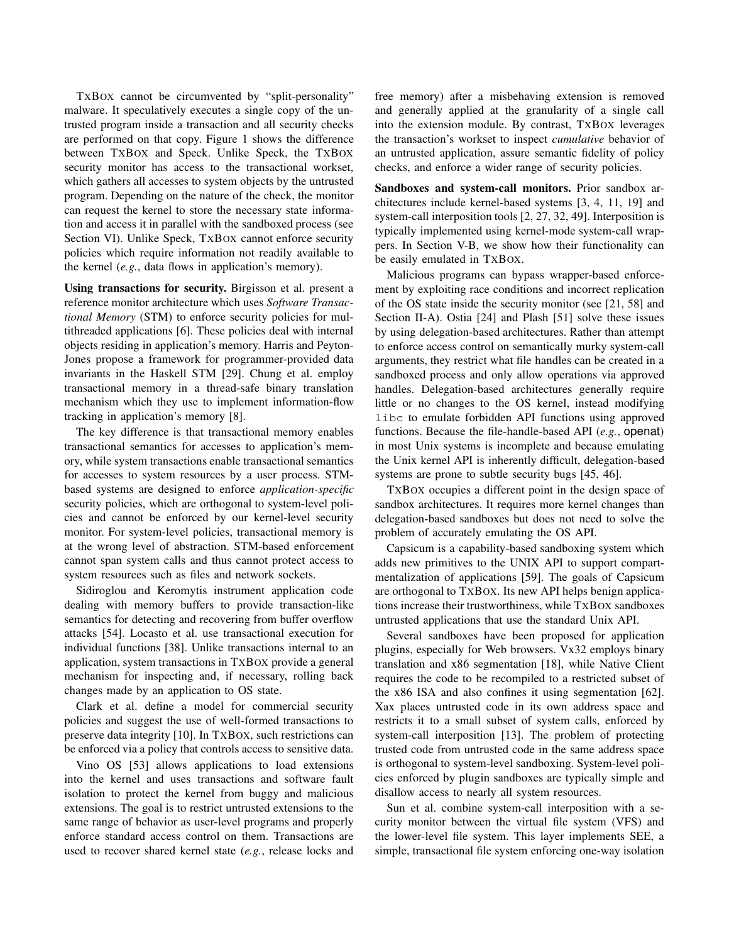TXBOX cannot be circumvented by "split-personality" malware. It speculatively executes a single copy of the untrusted program inside a transaction and all security checks are performed on that copy. Figure 1 shows the difference between TXBOX and Speck. Unlike Speck, the TXBOX security monitor has access to the transactional workset, which gathers all accesses to system objects by the untrusted program. Depending on the nature of the check, the monitor can request the kernel to store the necessary state information and access it in parallel with the sandboxed process (see Section VI). Unlike Speck, TXBOX cannot enforce security policies which require information not readily available to the kernel (*e.g.*, data flows in application's memory).

**Using transactions for security.** Birgisson et al. present a reference monitor architecture which uses *Software Transactional Memory* (STM) to enforce security policies for multithreaded applications [6]. These policies deal with internal objects residing in application's memory. Harris and Peyton-Jones propose a framework for programmer-provided data invariants in the Haskell STM [29]. Chung et al. employ transactional memory in a thread-safe binary translation mechanism which they use to implement information-flow tracking in application's memory [8].

The key difference is that transactional memory enables transactional semantics for accesses to application's memory, while system transactions enable transactional semantics for accesses to system resources by a user process. STMbased systems are designed to enforce *application-specific* security policies, which are orthogonal to system-level policies and cannot be enforced by our kernel-level security monitor. For system-level policies, transactional memory is at the wrong level of abstraction. STM-based enforcement cannot span system calls and thus cannot protect access to system resources such as files and network sockets.

Sidiroglou and Keromytis instrument application code dealing with memory buffers to provide transaction-like semantics for detecting and recovering from buffer overflow attacks [54]. Locasto et al. use transactional execution for individual functions [38]. Unlike transactions internal to an application, system transactions in TXBOX provide a general mechanism for inspecting and, if necessary, rolling back changes made by an application to OS state.

Clark et al. define a model for commercial security policies and suggest the use of well-formed transactions to preserve data integrity [10]. In TXBOX, such restrictions can be enforced via a policy that controls access to sensitive data.

Vino OS [53] allows applications to load extensions into the kernel and uses transactions and software fault isolation to protect the kernel from buggy and malicious extensions. The goal is to restrict untrusted extensions to the same range of behavior as user-level programs and properly enforce standard access control on them. Transactions are used to recover shared kernel state (*e.g.*, release locks and free memory) after a misbehaving extension is removed and generally applied at the granularity of a single call into the extension module. By contrast, TXBOX leverages the transaction's workset to inspect *cumulative* behavior of an untrusted application, assure semantic fidelity of policy checks, and enforce a wider range of security policies.

**Sandboxes and system-call monitors.** Prior sandbox architectures include kernel-based systems [3, 4, 11, 19] and system-call interposition tools [2, 27, 32, 49]. Interposition is typically implemented using kernel-mode system-call wrappers. In Section V-B, we show how their functionality can be easily emulated in TXBOX.

Malicious programs can bypass wrapper-based enforcement by exploiting race conditions and incorrect replication of the OS state inside the security monitor (see [21, 58] and Section II-A). Ostia [24] and Plash [51] solve these issues by using delegation-based architectures. Rather than attempt to enforce access control on semantically murky system-call arguments, they restrict what file handles can be created in a sandboxed process and only allow operations via approved handles. Delegation-based architectures generally require little or no changes to the OS kernel, instead modifying libc to emulate forbidden API functions using approved functions. Because the file-handle-based API (*e.g.*, openat) in most Unix systems is incomplete and because emulating the Unix kernel API is inherently difficult, delegation-based systems are prone to subtle security bugs [45, 46].

TXBOX occupies a different point in the design space of sandbox architectures. It requires more kernel changes than delegation-based sandboxes but does not need to solve the problem of accurately emulating the OS API.

Capsicum is a capability-based sandboxing system which adds new primitives to the UNIX API to support compartmentalization of applications [59]. The goals of Capsicum are orthogonal to TXBOX. Its new API helps benign applications increase their trustworthiness, while TXBOX sandboxes untrusted applications that use the standard Unix API.

Several sandboxes have been proposed for application plugins, especially for Web browsers. Vx32 employs binary translation and x86 segmentation [18], while Native Client requires the code to be recompiled to a restricted subset of the x86 ISA and also confines it using segmentation [62]. Xax places untrusted code in its own address space and restricts it to a small subset of system calls, enforced by system-call interposition [13]. The problem of protecting trusted code from untrusted code in the same address space is orthogonal to system-level sandboxing. System-level policies enforced by plugin sandboxes are typically simple and disallow access to nearly all system resources.

Sun et al. combine system-call interposition with a security monitor between the virtual file system (VFS) and the lower-level file system. This layer implements SEE, a simple, transactional file system enforcing one-way isolation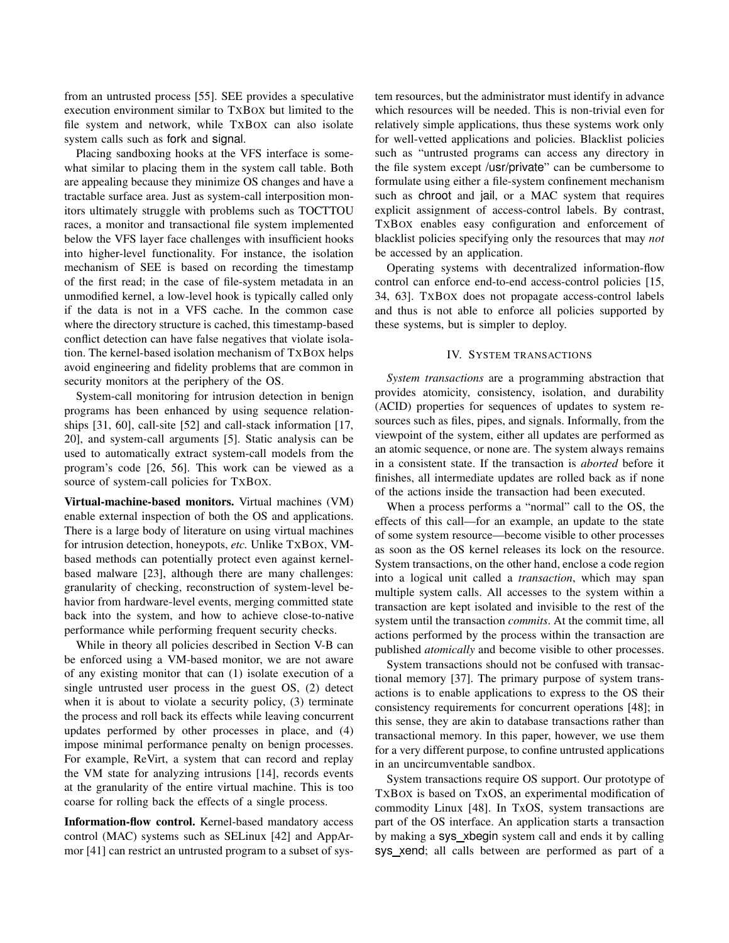from an untrusted process [55]. SEE provides a speculative execution environment similar to TXBOX but limited to the file system and network, while TXBOX can also isolate system calls such as fork and signal.

Placing sandboxing hooks at the VFS interface is somewhat similar to placing them in the system call table. Both are appealing because they minimize OS changes and have a tractable surface area. Just as system-call interposition monitors ultimately struggle with problems such as TOCTTOU races, a monitor and transactional file system implemented below the VFS layer face challenges with insufficient hooks into higher-level functionality. For instance, the isolation mechanism of SEE is based on recording the timestamp of the first read; in the case of file-system metadata in an unmodified kernel, a low-level hook is typically called only if the data is not in a VFS cache. In the common case where the directory structure is cached, this timestamp-based conflict detection can have false negatives that violate isolation. The kernel-based isolation mechanism of TXBOX helps avoid engineering and fidelity problems that are common in security monitors at the periphery of the OS.

System-call monitoring for intrusion detection in benign programs has been enhanced by using sequence relationships [31, 60], call-site [52] and call-stack information [17, 20], and system-call arguments [5]. Static analysis can be used to automatically extract system-call models from the program's code [26, 56]. This work can be viewed as a source of system-call policies for TXBOX.

**Virtual-machine-based monitors.** Virtual machines (VM) enable external inspection of both the OS and applications. There is a large body of literature on using virtual machines for intrusion detection, honeypots, *etc.* Unlike TXBOX, VMbased methods can potentially protect even against kernelbased malware [23], although there are many challenges: granularity of checking, reconstruction of system-level behavior from hardware-level events, merging committed state back into the system, and how to achieve close-to-native performance while performing frequent security checks.

While in theory all policies described in Section V-B can be enforced using a VM-based monitor, we are not aware of any existing monitor that can (1) isolate execution of a single untrusted user process in the guest OS, (2) detect when it is about to violate a security policy, (3) terminate the process and roll back its effects while leaving concurrent updates performed by other processes in place, and (4) impose minimal performance penalty on benign processes. For example, ReVirt, a system that can record and replay the VM state for analyzing intrusions [14], records events at the granularity of the entire virtual machine. This is too coarse for rolling back the effects of a single process.

**Information-flow control.** Kernel-based mandatory access control (MAC) systems such as SELinux [42] and AppArmor [41] can restrict an untrusted program to a subset of system resources, but the administrator must identify in advance which resources will be needed. This is non-trivial even for relatively simple applications, thus these systems work only for well-vetted applications and policies. Blacklist policies such as "untrusted programs can access any directory in the file system except /usr/private" can be cumbersome to formulate using either a file-system confinement mechanism such as chroot and jail, or a MAC system that requires explicit assignment of access-control labels. By contrast, TXBOX enables easy configuration and enforcement of blacklist policies specifying only the resources that may *not* be accessed by an application.

Operating systems with decentralized information-flow control can enforce end-to-end access-control policies [15, 34, 63]. TXBOX does not propagate access-control labels and thus is not able to enforce all policies supported by these systems, but is simpler to deploy.

## IV. SYSTEM TRANSACTIONS

*System transactions* are a programming abstraction that provides atomicity, consistency, isolation, and durability (ACID) properties for sequences of updates to system resources such as files, pipes, and signals. Informally, from the viewpoint of the system, either all updates are performed as an atomic sequence, or none are. The system always remains in a consistent state. If the transaction is *aborted* before it finishes, all intermediate updates are rolled back as if none of the actions inside the transaction had been executed.

When a process performs a "normal" call to the OS, the effects of this call—for an example, an update to the state of some system resource—become visible to other processes as soon as the OS kernel releases its lock on the resource. System transactions, on the other hand, enclose a code region into a logical unit called a *transaction*, which may span multiple system calls. All accesses to the system within a transaction are kept isolated and invisible to the rest of the system until the transaction *commits*. At the commit time, all actions performed by the process within the transaction are published *atomically* and become visible to other processes.

System transactions should not be confused with transactional memory [37]. The primary purpose of system transactions is to enable applications to express to the OS their consistency requirements for concurrent operations [48]; in this sense, they are akin to database transactions rather than transactional memory. In this paper, however, we use them for a very different purpose, to confine untrusted applications in an uncircumventable sandbox.

System transactions require OS support. Our prototype of TXBOX is based on TxOS, an experimental modification of commodity Linux [48]. In TxOS, system transactions are part of the OS interface. An application starts a transaction by making a sys\_xbegin system call and ends it by calling sys\_xend; all calls between are performed as part of a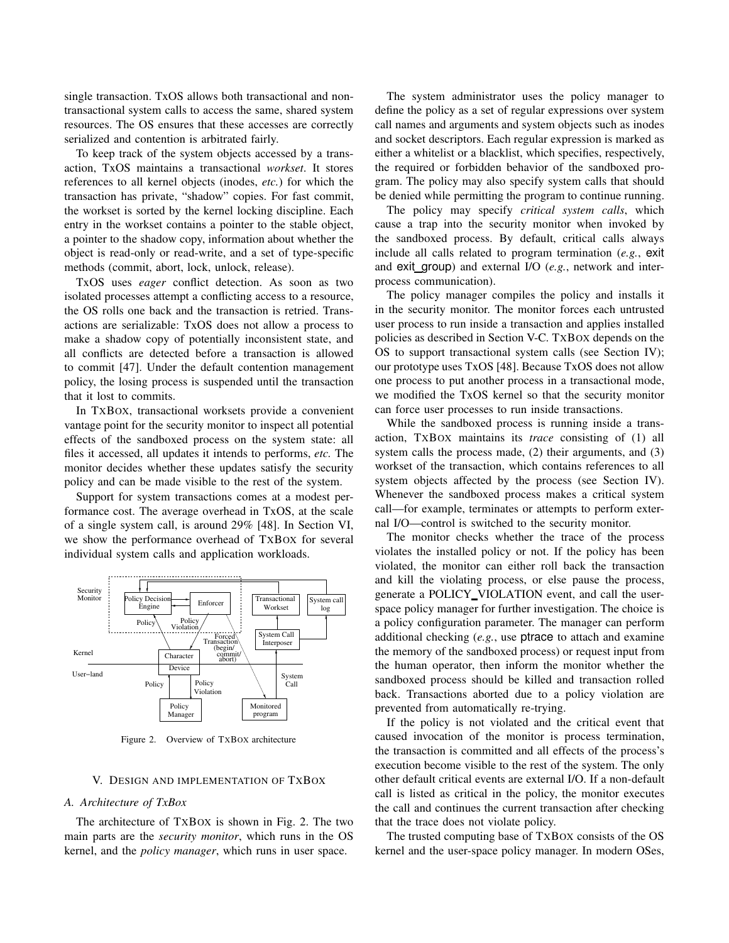single transaction. TxOS allows both transactional and nontransactional system calls to access the same, shared system resources. The OS ensures that these accesses are correctly serialized and contention is arbitrated fairly.

To keep track of the system objects accessed by a transaction, TxOS maintains a transactional *workset*. It stores references to all kernel objects (inodes, *etc.*) for which the transaction has private, "shadow" copies. For fast commit, the workset is sorted by the kernel locking discipline. Each entry in the workset contains a pointer to the stable object, a pointer to the shadow copy, information about whether the object is read-only or read-write, and a set of type-specific methods (commit, abort, lock, unlock, release).

TxOS uses *eager* conflict detection. As soon as two isolated processes attempt a conflicting access to a resource, the OS rolls one back and the transaction is retried. Transactions are serializable: TxOS does not allow a process to make a shadow copy of potentially inconsistent state, and all conflicts are detected before a transaction is allowed to commit [47]. Under the default contention management policy, the losing process is suspended until the transaction that it lost to commits.

In TXBOX, transactional worksets provide a convenient vantage point for the security monitor to inspect all potential effects of the sandboxed process on the system state: all files it accessed, all updates it intends to performs, *etc.* The monitor decides whether these updates satisfy the security policy and can be made visible to the rest of the system.

Support for system transactions comes at a modest performance cost. The average overhead in TxOS, at the scale of a single system call, is around 29% [48]. In Section VI, we show the performance overhead of TXBOX for several individual system calls and application workloads.



Figure 2. Overview of TXBOX architecture

### V. DESIGN AND IMPLEMENTATION OF TXBOX

### *A. Architecture of TxBox*

The architecture of TXBOX is shown in Fig. 2. The two main parts are the *security monitor*, which runs in the OS kernel, and the *policy manager*, which runs in user space.

The system administrator uses the policy manager to define the policy as a set of regular expressions over system call names and arguments and system objects such as inodes and socket descriptors. Each regular expression is marked as either a whitelist or a blacklist, which specifies, respectively, the required or forbidden behavior of the sandboxed program. The policy may also specify system calls that should be denied while permitting the program to continue running.

The policy may specify *critical system calls*, which cause a trap into the security monitor when invoked by the sandboxed process. By default, critical calls always include all calls related to program termination (*e.g.*, exit and exit group) and external I/O (*e.g.*, network and interprocess communication).

The policy manager compiles the policy and installs it in the security monitor. The monitor forces each untrusted user process to run inside a transaction and applies installed policies as described in Section V-C. TXBOX depends on the OS to support transactional system calls (see Section IV); our prototype uses TxOS [48]. Because TxOS does not allow one process to put another process in a transactional mode, we modified the TxOS kernel so that the security monitor can force user processes to run inside transactions.

While the sandboxed process is running inside a transaction, TXBOX maintains its *trace* consisting of (1) all system calls the process made, (2) their arguments, and (3) workset of the transaction, which contains references to all system objects affected by the process (see Section IV). Whenever the sandboxed process makes a critical system call—for example, terminates or attempts to perform external I/O—control is switched to the security monitor.

The monitor checks whether the trace of the process violates the installed policy or not. If the policy has been violated, the monitor can either roll back the transaction and kill the violating process, or else pause the process, generate a POLICY\_VIOLATION event, and call the userspace policy manager for further investigation. The choice is a policy configuration parameter. The manager can perform additional checking (*e.g.*, use ptrace to attach and examine the memory of the sandboxed process) or request input from the human operator, then inform the monitor whether the sandboxed process should be killed and transaction rolled back. Transactions aborted due to a policy violation are prevented from automatically re-trying.

If the policy is not violated and the critical event that caused invocation of the monitor is process termination, the transaction is committed and all effects of the process's execution become visible to the rest of the system. The only other default critical events are external I/O. If a non-default call is listed as critical in the policy, the monitor executes the call and continues the current transaction after checking that the trace does not violate policy.

The trusted computing base of TXBOX consists of the OS kernel and the user-space policy manager. In modern OSes,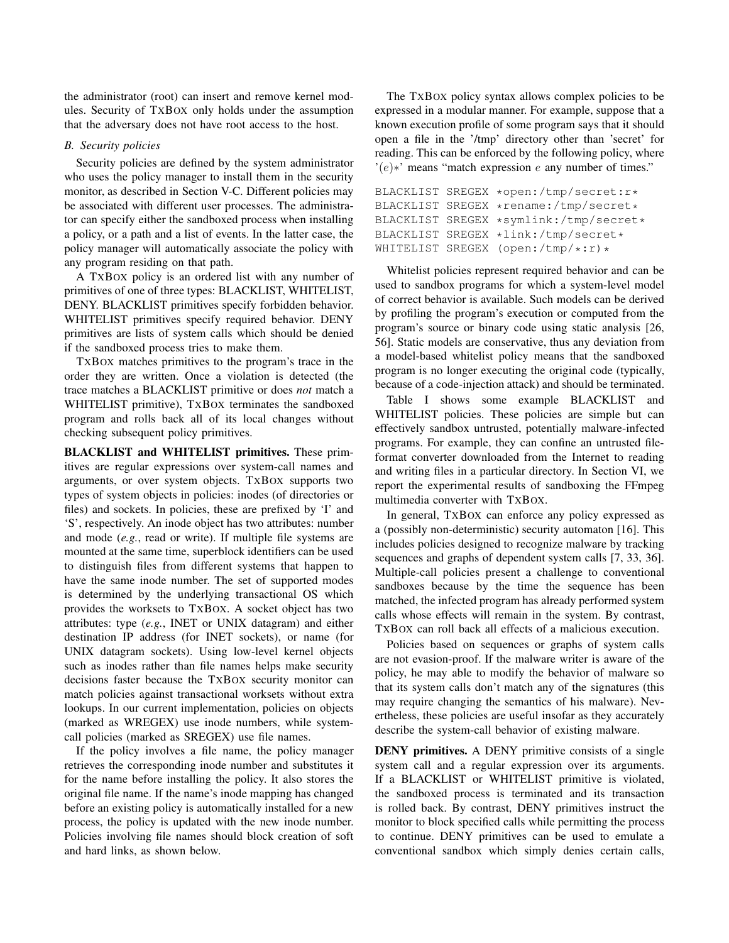the administrator (root) can insert and remove kernel modules. Security of TXBOX only holds under the assumption that the adversary does not have root access to the host.

## *B. Security policies*

Security policies are defined by the system administrator who uses the policy manager to install them in the security monitor, as described in Section V-C. Different policies may be associated with different user processes. The administrator can specify either the sandboxed process when installing a policy, or a path and a list of events. In the latter case, the policy manager will automatically associate the policy with any program residing on that path.

A TXBOX policy is an ordered list with any number of primitives of one of three types: BLACKLIST, WHITELIST, DENY. BLACKLIST primitives specify forbidden behavior. WHITELIST primitives specify required behavior. DENY primitives are lists of system calls which should be denied if the sandboxed process tries to make them.

TXBOX matches primitives to the program's trace in the order they are written. Once a violation is detected (the trace matches a BLACKLIST primitive or does *not* match a WHITELIST primitive), TXBOX terminates the sandboxed program and rolls back all of its local changes without checking subsequent policy primitives.

**BLACKLIST and WHITELIST primitives.** These primitives are regular expressions over system-call names and arguments, or over system objects. TXBOX supports two types of system objects in policies: inodes (of directories or files) and sockets. In policies, these are prefixed by 'I' and 'S', respectively. An inode object has two attributes: number and mode (*e.g.*, read or write). If multiple file systems are mounted at the same time, superblock identifiers can be used to distinguish files from different systems that happen to have the same inode number. The set of supported modes is determined by the underlying transactional OS which provides the worksets to TXBOX. A socket object has two attributes: type (*e.g.*, INET or UNIX datagram) and either destination IP address (for INET sockets), or name (for UNIX datagram sockets). Using low-level kernel objects such as inodes rather than file names helps make security decisions faster because the TXBOX security monitor can match policies against transactional worksets without extra lookups. In our current implementation, policies on objects (marked as WREGEX) use inode numbers, while systemcall policies (marked as SREGEX) use file names.

If the policy involves a file name, the policy manager retrieves the corresponding inode number and substitutes it for the name before installing the policy. It also stores the original file name. If the name's inode mapping has changed before an existing policy is automatically installed for a new process, the policy is updated with the new inode number. Policies involving file names should block creation of soft and hard links, as shown below.

The TXBOX policy syntax allows complex policies to be expressed in a modular manner. For example, suppose that a known execution profile of some program says that it should open a file in the '/tmp' directory other than 'secret' for reading. This can be enforced by the following policy, where  $'(e)*'$  means "match expression e any number of times."

```
BLACKLIST SREGEX *open:/tmp/secret:r*
BLACKLIST SREGEX *rename:/tmp/secret*
BLACKLIST SREGEX *symlink:/tmp/secret*
BLACKLIST SREGEX *link:/tmp/secret*
WHITELIST SREGEX (open:/tmp/*:r)*
```
Whitelist policies represent required behavior and can be used to sandbox programs for which a system-level model of correct behavior is available. Such models can be derived by profiling the program's execution or computed from the program's source or binary code using static analysis [26, 56]. Static models are conservative, thus any deviation from a model-based whitelist policy means that the sandboxed program is no longer executing the original code (typically, because of a code-injection attack) and should be terminated.

Table I shows some example BLACKLIST and WHITELIST policies. These policies are simple but can effectively sandbox untrusted, potentially malware-infected programs. For example, they can confine an untrusted fileformat converter downloaded from the Internet to reading and writing files in a particular directory. In Section VI, we report the experimental results of sandboxing the FFmpeg multimedia converter with TXBOX.

In general, TXBOX can enforce any policy expressed as a (possibly non-deterministic) security automaton [16]. This includes policies designed to recognize malware by tracking sequences and graphs of dependent system calls [7, 33, 36]. Multiple-call policies present a challenge to conventional sandboxes because by the time the sequence has been matched, the infected program has already performed system calls whose effects will remain in the system. By contrast, TXBOX can roll back all effects of a malicious execution.

Policies based on sequences or graphs of system calls are not evasion-proof. If the malware writer is aware of the policy, he may able to modify the behavior of malware so that its system calls don't match any of the signatures (this may require changing the semantics of his malware). Nevertheless, these policies are useful insofar as they accurately describe the system-call behavior of existing malware.

**DENY** primitives. A DENY primitive consists of a single system call and a regular expression over its arguments. If a BLACKLIST or WHITELIST primitive is violated, the sandboxed process is terminated and its transaction is rolled back. By contrast, DENY primitives instruct the monitor to block specified calls while permitting the process to continue. DENY primitives can be used to emulate a conventional sandbox which simply denies certain calls,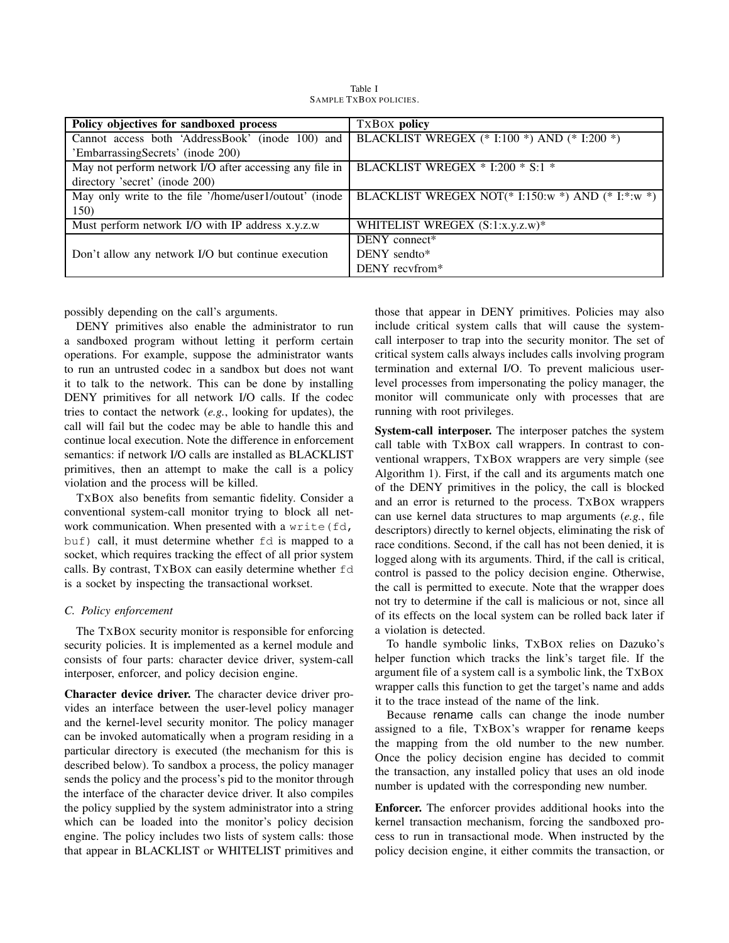| <b>TXBOX</b> policy                               |
|---------------------------------------------------|
| BLACKLIST WREGEX (* I:100 *) AND (* I:200 *)      |
|                                                   |
| BLACKLIST WREGEX $*$ I:200 $*$ S:1 $*$            |
|                                                   |
| BLACKLIST WREGEX NOT(* I:150:w *) AND (* I:*:w *) |
|                                                   |
| WHITELIST WREGEX (S:1:x.y.z.w)*                   |
| DENY connect*                                     |
| DENY sendto $*$                                   |
| DENY recyfrom*                                    |
|                                                   |

Table I SAMPLE TXBOX POLICIES.

possibly depending on the call's arguments.

DENY primitives also enable the administrator to run a sandboxed program without letting it perform certain operations. For example, suppose the administrator wants to run an untrusted codec in a sandbox but does not want it to talk to the network. This can be done by installing DENY primitives for all network I/O calls. If the codec tries to contact the network (*e.g.*, looking for updates), the call will fail but the codec may be able to handle this and continue local execution. Note the difference in enforcement semantics: if network I/O calls are installed as BLACKLIST primitives, then an attempt to make the call is a policy violation and the process will be killed.

TXBOX also benefits from semantic fidelity. Consider a conventional system-call monitor trying to block all network communication. When presented with a write  $(fd, f)$ buf) call, it must determine whether fd is mapped to a socket, which requires tracking the effect of all prior system calls. By contrast, TXBOX can easily determine whether fd is a socket by inspecting the transactional workset.

## *C. Policy enforcement*

The TXBOX security monitor is responsible for enforcing security policies. It is implemented as a kernel module and consists of four parts: character device driver, system-call interposer, enforcer, and policy decision engine.

**Character device driver.** The character device driver provides an interface between the user-level policy manager and the kernel-level security monitor. The policy manager can be invoked automatically when a program residing in a particular directory is executed (the mechanism for this is described below). To sandbox a process, the policy manager sends the policy and the process's pid to the monitor through the interface of the character device driver. It also compiles the policy supplied by the system administrator into a string which can be loaded into the monitor's policy decision engine. The policy includes two lists of system calls: those that appear in BLACKLIST or WHITELIST primitives and those that appear in DENY primitives. Policies may also include critical system calls that will cause the systemcall interposer to trap into the security monitor. The set of critical system calls always includes calls involving program termination and external I/O. To prevent malicious userlevel processes from impersonating the policy manager, the monitor will communicate only with processes that are running with root privileges.

**System-call interposer.** The interposer patches the system call table with TXBOX call wrappers. In contrast to conventional wrappers, TXBOX wrappers are very simple (see Algorithm 1). First, if the call and its arguments match one of the DENY primitives in the policy, the call is blocked and an error is returned to the process. TXBOX wrappers can use kernel data structures to map arguments (*e.g.*, file descriptors) directly to kernel objects, eliminating the risk of race conditions. Second, if the call has not been denied, it is logged along with its arguments. Third, if the call is critical, control is passed to the policy decision engine. Otherwise, the call is permitted to execute. Note that the wrapper does not try to determine if the call is malicious or not, since all of its effects on the local system can be rolled back later if a violation is detected.

To handle symbolic links, TXBOX relies on Dazuko's helper function which tracks the link's target file. If the argument file of a system call is a symbolic link, the TXBOX wrapper calls this function to get the target's name and adds it to the trace instead of the name of the link.

Because rename calls can change the inode number assigned to a file, TXBOX's wrapper for rename keeps the mapping from the old number to the new number. Once the policy decision engine has decided to commit the transaction, any installed policy that uses an old inode number is updated with the corresponding new number.

**Enforcer.** The enforcer provides additional hooks into the kernel transaction mechanism, forcing the sandboxed process to run in transactional mode. When instructed by the policy decision engine, it either commits the transaction, or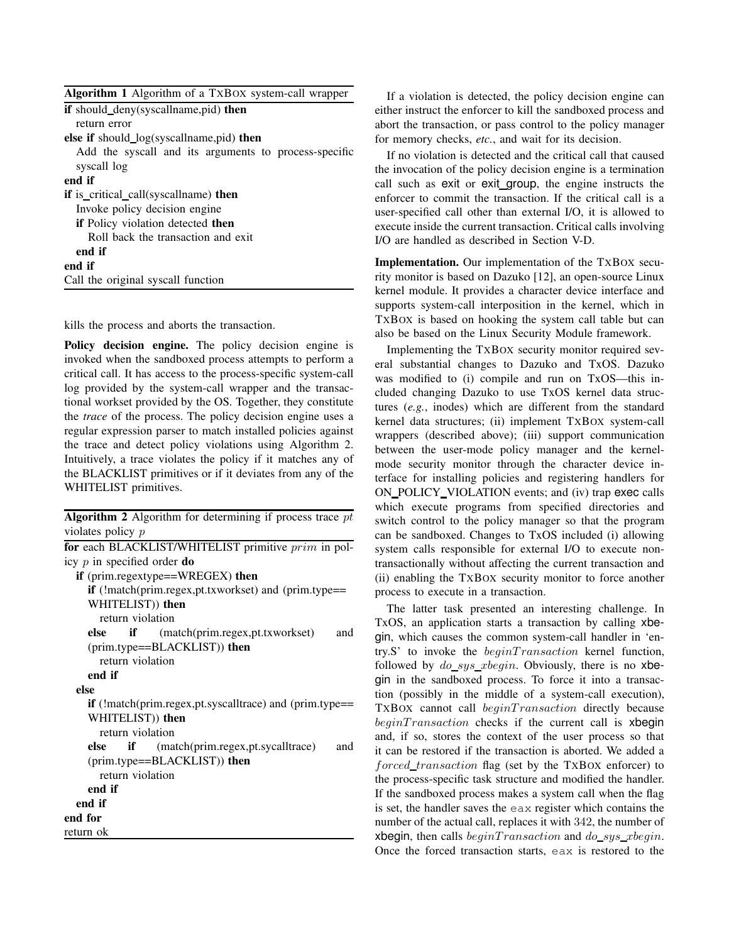| <b>Algorithm 1</b> Algorithm of a TXBOX system-call wrapper |  |  |
|-------------------------------------------------------------|--|--|
| <b>if</b> should_deny(syscallname,pid) <b>then</b>          |  |  |
| refurn error                                                |  |  |
| <b>else if</b> should $log(s$ yscallname, pid then          |  |  |
| Add the syscall and its arguments to process-specific       |  |  |
| syscall log                                                 |  |  |
| end if                                                      |  |  |
| if is_critical_call(syscallname) then                       |  |  |
| Invoke policy decision engine                               |  |  |
| <b>if</b> Policy violation detected <b>then</b>             |  |  |
| Roll back the transaction and exit                          |  |  |
| end if                                                      |  |  |
| end if                                                      |  |  |
| Call the original syscall function                          |  |  |

kills the process and aborts the transaction.

**Policy decision engine.** The policy decision engine is invoked when the sandboxed process attempts to perform a critical call. It has access to the process-specific system-call log provided by the system-call wrapper and the transactional workset provided by the OS. Together, they constitute the *trace* of the process. The policy decision engine uses a regular expression parser to match installed policies against the trace and detect policy violations using Algorithm 2. Intuitively, a trace violates the policy if it matches any of the BLACKLIST primitives or if it deviates from any of the WHITELIST primitives.

**Algorithm 2** Algorithm for determining if process trace pt violates policy p

| for each BLACKLIST/WHITELIST primitive prim in pol-            |     |
|----------------------------------------------------------------|-----|
| icy $p$ in specified order <b>do</b>                           |     |
| <b>if</b> (prim.regextype== $WREGEX$ ) then                    |     |
| $if$ (!match(prim.regex,pt.txworkset) and (prim.type==         |     |
| WHITELIST)) then                                               |     |
| return violation                                               |     |
| if<br>(match(prim.regex,pt.txworkset)<br>else                  | and |
| (prim.type==BLACKLIST)) then                                   |     |
| return violation                                               |     |
| end if                                                         |     |
| else                                                           |     |
| <b>if</b> (!match(prim.regex,pt.syscalltrace) and (prim.type== |     |
| WHITELIST)) then                                               |     |
| return violation                                               |     |
| <b>if</b> (match(prim.regex,pt.sycalltrace)<br>else            | and |
| (prim.type==BLACKLIST)) then                                   |     |
| return violation                                               |     |
| end if                                                         |     |
| end if                                                         |     |
| end for                                                        |     |
| return ok                                                      |     |
|                                                                |     |
|                                                                |     |

If a violation is detected, the policy decision engine can either instruct the enforcer to kill the sandboxed process and abort the transaction, or pass control to the policy manager for memory checks, *etc.*, and wait for its decision.

If no violation is detected and the critical call that caused the invocation of the policy decision engine is a termination call such as exit or exit group, the engine instructs the enforcer to commit the transaction. If the critical call is a user-specified call other than external I/O, it is allowed to execute inside the current transaction. Critical calls involving I/O are handled as described in Section V-D.

**Implementation.** Our implementation of the TXBOX security monitor is based on Dazuko [12], an open-source Linux kernel module. It provides a character device interface and supports system-call interposition in the kernel, which in TXBOX is based on hooking the system call table but can also be based on the Linux Security Module framework.

Implementing the TXBOX security monitor required several substantial changes to Dazuko and TxOS. Dazuko was modified to (i) compile and run on TxOS—this included changing Dazuko to use TxOS kernel data structures (*e.g.*, inodes) which are different from the standard kernel data structures; (ii) implement TXBOX system-call wrappers (described above); (iii) support communication between the user-mode policy manager and the kernelmode security monitor through the character device interface for installing policies and registering handlers for ON POLICY VIOLATION events; and (iv) trap exec calls which execute programs from specified directories and switch control to the policy manager so that the program can be sandboxed. Changes to TxOS included (i) allowing system calls responsible for external I/O to execute nontransactionally without affecting the current transaction and (ii) enabling the TXBOX security monitor to force another process to execute in a transaction.

The latter task presented an interesting challenge. In TxOS, an application starts a transaction by calling xbegin, which causes the common system-call handler in 'entry.S' to invoke the  $begin{bmatrix} Transaction \end{bmatrix}$  kernel function, followed by  $do\_sys\_xbegin$ . Obviously, there is no xbegin in the sandboxed process. To force it into a transaction (possibly in the middle of a system-call execution), TXBOX cannot call beginTransaction directly because  $begin Transaction$  checks if the current call is xbegin and, if so, stores the context of the user process so that it can be restored if the transaction is aborted. We added a forced\_transaction flag (set by the TXBOX enforcer) to the process-specific task structure and modified the handler. If the sandboxed process makes a system call when the flag is set, the handler saves the eax register which contains the number of the actual call, replaces it with 342, the number of xbegin, then calls  $begin{aligned} \textit{region} \textit{frac} \textit{ar} = \textit{adj} \textit{log} \textit{or} \textit{or} \textit{or} \textit{or} \textit{or} \textit{or} \textit{or} \textit{or} \textit{or} \textit{or} \textit{or} \textit{or} \textit{or} \textit{or} \textit{or} \textit{or} \textit{or} \textit{or} \textit{or} \textit{or} \textit{or} \textit{or} \textit{or} \textit{or} \textit{or} \textit{or} \textit{or} \textit{$ Once the forced transaction starts, eax is restored to the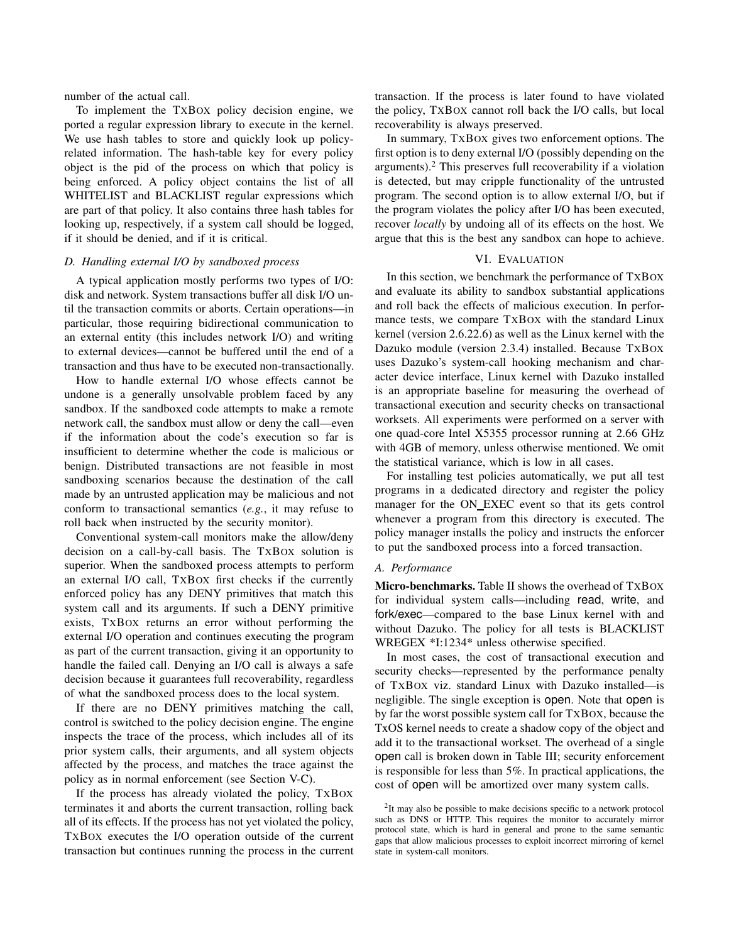number of the actual call.

To implement the TXBOX policy decision engine, we ported a regular expression library to execute in the kernel. We use hash tables to store and quickly look up policyrelated information. The hash-table key for every policy object is the pid of the process on which that policy is being enforced. A policy object contains the list of all WHITELIST and BLACKLIST regular expressions which are part of that policy. It also contains three hash tables for looking up, respectively, if a system call should be logged, if it should be denied, and if it is critical.

### *D. Handling external I/O by sandboxed process*

A typical application mostly performs two types of I/O: disk and network. System transactions buffer all disk I/O until the transaction commits or aborts. Certain operations—in particular, those requiring bidirectional communication to an external entity (this includes network I/O) and writing to external devices—cannot be buffered until the end of a transaction and thus have to be executed non-transactionally.

How to handle external I/O whose effects cannot be undone is a generally unsolvable problem faced by any sandbox. If the sandboxed code attempts to make a remote network call, the sandbox must allow or deny the call—even if the information about the code's execution so far is insufficient to determine whether the code is malicious or benign. Distributed transactions are not feasible in most sandboxing scenarios because the destination of the call made by an untrusted application may be malicious and not conform to transactional semantics (*e.g.*, it may refuse to roll back when instructed by the security monitor).

Conventional system-call monitors make the allow/deny decision on a call-by-call basis. The TXBOX solution is superior. When the sandboxed process attempts to perform an external I/O call, TXBOX first checks if the currently enforced policy has any DENY primitives that match this system call and its arguments. If such a DENY primitive exists, TXBOX returns an error without performing the external I/O operation and continues executing the program as part of the current transaction, giving it an opportunity to handle the failed call. Denying an I/O call is always a safe decision because it guarantees full recoverability, regardless of what the sandboxed process does to the local system.

If there are no DENY primitives matching the call, control is switched to the policy decision engine. The engine inspects the trace of the process, which includes all of its prior system calls, their arguments, and all system objects affected by the process, and matches the trace against the policy as in normal enforcement (see Section V-C).

If the process has already violated the policy, TXBOX terminates it and aborts the current transaction, rolling back all of its effects. If the process has not yet violated the policy, TXBOX executes the I/O operation outside of the current transaction but continues running the process in the current transaction. If the process is later found to have violated the policy, TXBOX cannot roll back the I/O calls, but local recoverability is always preserved.

In summary, TXBOX gives two enforcement options. The first option is to deny external I/O (possibly depending on the arguments). $<sup>2</sup>$  This preserves full recoverability if a violation</sup> is detected, but may cripple functionality of the untrusted program. The second option is to allow external I/O, but if the program violates the policy after I/O has been executed, recover *locally* by undoing all of its effects on the host. We argue that this is the best any sandbox can hope to achieve.

#### VI. EVALUATION

In this section, we benchmark the performance of TXBOX and evaluate its ability to sandbox substantial applications and roll back the effects of malicious execution. In performance tests, we compare TXBOX with the standard Linux kernel (version 2.6.22.6) as well as the Linux kernel with the Dazuko module (version 2.3.4) installed. Because TXBOX uses Dazuko's system-call hooking mechanism and character device interface, Linux kernel with Dazuko installed is an appropriate baseline for measuring the overhead of transactional execution and security checks on transactional worksets. All experiments were performed on a server with one quad-core Intel X5355 processor running at 2.66 GHz with 4GB of memory, unless otherwise mentioned. We omit the statistical variance, which is low in all cases.

For installing test policies automatically, we put all test programs in a dedicated directory and register the policy manager for the ON EXEC event so that its gets control whenever a program from this directory is executed. The policy manager installs the policy and instructs the enforcer to put the sandboxed process into a forced transaction.

## *A. Performance*

**Micro-benchmarks.** Table II shows the overhead of TXBOX for individual system calls—including read, write, and fork/exec—compared to the base Linux kernel with and without Dazuko. The policy for all tests is BLACKLIST WREGEX \*I:1234\* unless otherwise specified.

In most cases, the cost of transactional execution and security checks—represented by the performance penalty of TXBOX viz. standard Linux with Dazuko installed—is negligible. The single exception is open. Note that open is by far the worst possible system call for TXBOX, because the TxOS kernel needs to create a shadow copy of the object and add it to the transactional workset. The overhead of a single open call is broken down in Table III; security enforcement is responsible for less than 5%. In practical applications, the cost of open will be amortized over many system calls.

<sup>&</sup>lt;sup>2</sup>It may also be possible to make decisions specific to a network protocol such as DNS or HTTP. This requires the monitor to accurately mirror protocol state, which is hard in general and prone to the same semantic gaps that allow malicious processes to exploit incorrect mirroring of kernel state in system-call monitors.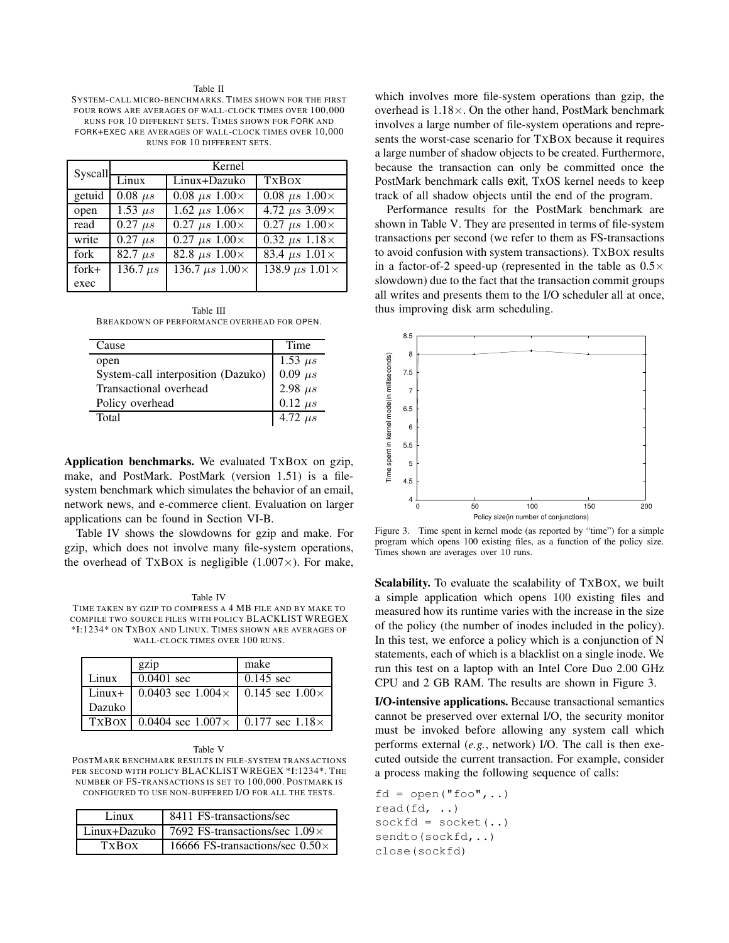#### Table II

SYSTEM-CALL MICRO-BENCHMARKS. TIMES SHOWN FOR THE FIRST FOUR ROWS ARE AVERAGES OF WALL-CLOCK TIMES OVER 100,000 RUNS FOR 10 DIFFERENT SETS. TIMES SHOWN FOR FORK AND FORK+EXEC ARE AVERAGES OF WALL-CLOCK TIMES OVER 10,000 RUNS FOR 10 DIFFERENT SETS.

| Syscall | Kernel                     |                             |                                  |
|---------|----------------------------|-----------------------------|----------------------------------|
|         | Linux                      | Linux+Dazuko                | <b>TXBOX</b>                     |
| getuid  | $\overline{0.08} \ \mu s$  | 0.08 $\mu s \ 1.00 \times$  | 0.08 $\mu s$ 1.00 $\times$       |
| open    | $1.53 \ \mu s$             | 1.62 $\mu s$ 1.06 $\times$  | $\frac{4.72 \mu s}{3.09 \times}$ |
| read    | $0.27 \ \mu s$             | 0.27 $\mu s$ 1.00 $\times$  | 0.27 $\mu s$ 1.00 $\times$       |
| write   | $0.27 \ \mu s$             | 0.27 $\mu s$ 1.00 $\times$  | 0.32 $\mu s$ 1.18 $\times$       |
| fork    | 82.7 $\mu s$               | 82.8 $\mu s$ 1.00 $\times$  | 83.4 $\mu s$ 1.01 $\times$       |
| $fork+$ | $\overline{1}36.7 \,\mu s$ | 136.7 $\mu s$ 1.00 $\times$ | 138.9 $\mu s$ 1.01 $\times$      |
| exec    |                            |                             |                                  |

Table III BREAKDOWN OF PERFORMANCE OVERHEAD FOR OPEN.

| Cause                              | Time                                                                |
|------------------------------------|---------------------------------------------------------------------|
| open                               |                                                                     |
| System-call interposition (Dazuko) |                                                                     |
| Transactional overhead             |                                                                     |
| Policy overhead                    | $\frac{1.53 \ \mu s}{0.09 \ \mu s}$<br>2.98 $\mu s$<br>0.12 $\mu s$ |
| Total                              | 4.72 $\mu s$                                                        |

**Application benchmarks.** We evaluated TXBOX on gzip, make, and PostMark. PostMark (version 1.51) is a filesystem benchmark which simulates the behavior of an email, network news, and e-commerce client. Evaluation on larger applications can be found in Section VI-B.

Table IV shows the slowdowns for gzip and make. For gzip, which does not involve many file-system operations, the overhead of TXBOX is negligible  $(1.007\times)$ . For make,

Table IV TIME TAKEN BY GZIP TO COMPRESS A 4 MB FILE AND BY MAKE TO COMPILE TWO SOURCE FILES WITH POLICY BLACKLIST WREGEX \*I:1234\* ON TXBOX AND LINUX. TIMES SHOWN ARE AVERAGES OF WALL-CLOCK TIMES OVER 100 RUNS.

|          | gzip                           | make                          |
|----------|--------------------------------|-------------------------------|
| Linux    | $0.0401 \text{ sec}$           | $0.145 \text{ sec}$           |
| $Linux+$ | 0.0403 sec $1.004 \times$      | 0.145 sec $1.00\times$        |
| Dazuko   |                                |                               |
|          | TXBOX 0.0404 sec $1.007\times$ | $\pm 0.177$ sec $1.18 \times$ |

Table V POSTMARK BENCHMARK RESULTS IN FILE-SYSTEM TRANSACTIONS PER SECOND WITH POLICY BLACKLIST WREGEX \*I:1234\*. THE NUMBER OF FS-TRANSACTIONS IS SET TO 100,000. POSTMARK IS CONFIGURED TO USE NON-BUFFERED I/O FOR ALL THE TESTS.

| Linux        | 8411 FS-transactions/sec               |
|--------------|----------------------------------------|
| Linux+Dazuko | 7692 FS-transactions/sec $1.09 \times$ |
| TxBox        | 16666 FS-transactions/sec $0.50\times$ |

which involves more file-system operations than gzip, the overhead is 1.18×. On the other hand, PostMark benchmark involves a large number of file-system operations and represents the worst-case scenario for TXBOX because it requires a large number of shadow objects to be created. Furthermore, because the transaction can only be committed once the PostMark benchmark calls exit, TxOS kernel needs to keep track of all shadow objects until the end of the program.

Performance results for the PostMark benchmark are shown in Table V. They are presented in terms of file-system transactions per second (we refer to them as FS-transactions to avoid confusion with system transactions). TXBOX results in a factor-of-2 speed-up (represented in the table as  $0.5\times$ slowdown) due to the fact that the transaction commit groups all writes and presents them to the I/O scheduler all at once, thus improving disk arm scheduling.



Figure 3. Time spent in kernel mode (as reported by "time") for a simple program which opens 100 existing files, as a function of the policy size. Times shown are averages over 10 runs.

Scalability. To evaluate the scalability of TXBOX, we built a simple application which opens 100 existing files and measured how its runtime varies with the increase in the size of the policy (the number of inodes included in the policy). In this test, we enforce a policy which is a conjunction of N statements, each of which is a blacklist on a single inode. We run this test on a laptop with an Intel Core Duo 2.00 GHz CPU and 2 GB RAM. The results are shown in Figure 3.

**I/O-intensive applications.** Because transactional semantics cannot be preserved over external I/O, the security monitor must be invoked before allowing any system call which performs external (*e.g.*, network) I/O. The call is then executed outside the current transaction. For example, consider a process making the following sequence of calls:

 $fd = open("foo", ...)$ read( $fd, \ldots$ ) sockfd =  $socket(..)$ sendto(sockfd,..) close(sockfd)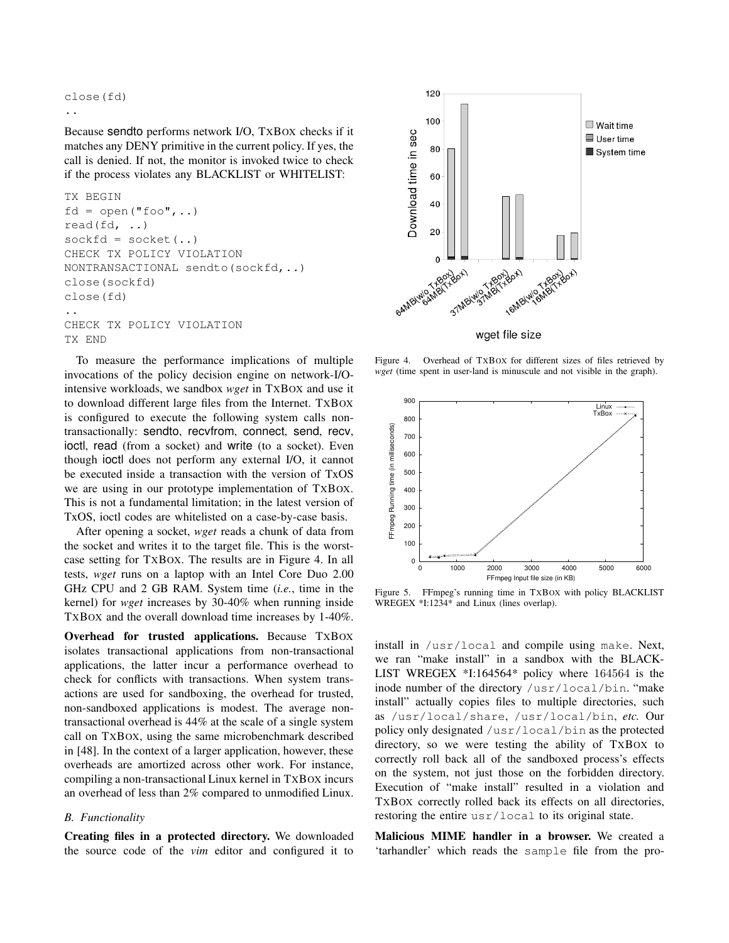```
close(fd)
..
```
Because sendto performs network I/O, TXBOX checks if it matches any DENY primitive in the current policy. If yes, the call is denied. If not, the monitor is invoked twice to check if the process violates any BLACKLIST or WHITELIST:

```
TX BEGIN
fd = open("foo", ...)read(fd, \ldots)
sockfd = socket(..)CHECK TX POLICY VIOLATION
NONTRANSACTIONAL sendto(sockfd,..)
close(sockfd)
close(fd)
..
```
CHECK TX POLICY VIOLATION TX END

To measure the performance implications of multiple invocations of the policy decision engine on network-I/Ointensive workloads, we sandbox *wget* in TXBOX and use it to download different large files from the Internet. TXBOX is configured to execute the following system calls nontransactionally: sendto, recvfrom, connect, send, recv, ioctl, read (from a socket) and write (to a socket). Even though ioctl does not perform any external I/O, it cannot be executed inside a transaction with the version of TxOS we are using in our prototype implementation of TXBOX. This is not a fundamental limitation; in the latest version of TxOS, ioctl codes are whitelisted on a case-by-case basis.

After opening a socket, *wget* reads a chunk of data from the socket and writes it to the target file. This is the worstcase setting for TXBOX. The results are in Figure 4. In all tests, *wget* runs on a laptop with an Intel Core Duo 2.00 GHz CPU and 2 GB RAM. System time (*i.e.*, time in the kernel) for *wget* increases by 30-40% when running inside TXBOX and the overall download time increases by 1-40%.

**Overhead for trusted applications.** Because TXBOX isolates transactional applications from non-transactional applications, the latter incur a performance overhead to check for conflicts with transactions. When system transactions are used for sandboxing, the overhead for trusted, non-sandboxed applications is modest. The average nontransactional overhead is 44% at the scale of a single system call on TXBOX, using the same microbenchmark described in [48]. In the context of a larger application, however, these overheads are amortized across other work. For instance, compiling a non-transactional Linux kernel in TXBOX incurs an overhead of less than 2% compared to unmodified Linux.

## *B. Functionality*

**Creating files in a protected directory.** We downloaded the source code of the *vim* editor and configured it to



Figure 4. Overhead of TXBOX for different sizes of files retrieved by *wget* (time spent in user-land is minuscule and not visible in the graph).



Figure 5. FFmpeg's running time in TXBOX with policy BLACKLIST WREGEX \*I:1234\* and Linux (lines overlap).

install in /usr/local and compile using make. Next, we ran "make install" in a sandbox with the BLACK-LIST WREGEX \*I:164564\* policy where 164564 is the inode number of the directory /usr/local/bin. "make install" actually copies files to multiple directories, such as /usr/local/share, /usr/local/bin, *etc.* Our policy only designated /usr/local/bin as the protected directory, so we were testing the ability of TXBOX to correctly roll back all of the sandboxed process's effects on the system, not just those on the forbidden directory. Execution of "make install" resulted in a violation and TXBOX correctly rolled back its effects on all directories, restoring the entire usr/local to its original state.

**Malicious MIME handler in a browser.** We created a 'tarhandler' which reads the sample file from the pro-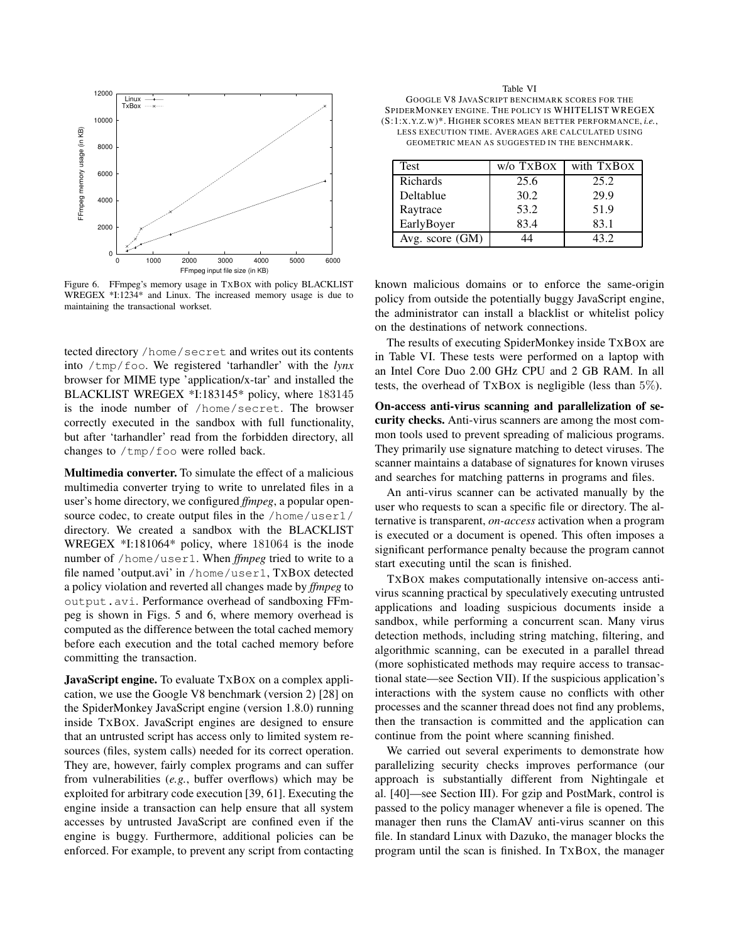

Figure 6. FFmpeg's memory usage in TXBOX with policy BLACKLIST WREGEX \*I:1234\* and Linux. The increased memory usage is due to maintaining the transactional workset.

tected directory /home/secret and writes out its contents into /tmp/foo. We registered 'tarhandler' with the *lynx* browser for MIME type 'application/x-tar' and installed the BLACKLIST WREGEX \*I:183145\* policy, where 183145 is the inode number of /home/secret. The browser correctly executed in the sandbox with full functionality, but after 'tarhandler' read from the forbidden directory, all changes to  $/\text{tmp/foo}$  were rolled back.

**Multimedia converter.** To simulate the effect of a malicious multimedia converter trying to write to unrelated files in a user's home directory, we configured *ffmpeg*, a popular opensource codec, to create output files in the /home/user1/ directory. We created a sandbox with the BLACKLIST WREGEX \*I:181064\* policy, where 181064 is the inode number of /home/user1. When *ffmpeg* tried to write to a file named 'output.avi' in /home/user1, TXBOX detected a policy violation and reverted all changes made by *ffmpeg* to output.avi. Performance overhead of sandboxing FFmpeg is shown in Figs. 5 and 6, where memory overhead is computed as the difference between the total cached memory before each execution and the total cached memory before committing the transaction.

**JavaScript engine.** To evaluate TXBOX on a complex application, we use the Google V8 benchmark (version 2) [28] on the SpiderMonkey JavaScript engine (version 1.8.0) running inside TXBOX. JavaScript engines are designed to ensure that an untrusted script has access only to limited system resources (files, system calls) needed for its correct operation. They are, however, fairly complex programs and can suffer from vulnerabilities (*e.g.*, buffer overflows) which may be exploited for arbitrary code execution [39, 61]. Executing the engine inside a transaction can help ensure that all system accesses by untrusted JavaScript are confined even if the engine is buggy. Furthermore, additional policies can be enforced. For example, to prevent any script from contacting

Table VI GOOGLE V8 JAVASCRIPT BENCHMARK SCORES FOR THE SPIDERMONKEY ENGINE. THE POLICY IS WHITELIST WREGEX (S:1:X.Y.Z.W)\*. HIGHER SCORES MEAN BETTER PERFORMANCE, *i.e.*, LESS EXECUTION TIME. AVERAGES ARE CALCULATED USING GEOMETRIC MEAN AS SUGGESTED IN THE BENCHMARK.

| Test              | w/o TxBox | with TXBOX |
|-------------------|-----------|------------|
| Richards          | 25.6      | 25.2       |
| Deltablue         | 30.2      | 29.9       |
| Raytrace          | 53.2      | 51.9       |
| EarlyBoyer        | 83.4      | 83.1       |
| Avg. score $(GM)$ | 14        | 43 2       |

known malicious domains or to enforce the same-origin policy from outside the potentially buggy JavaScript engine, the administrator can install a blacklist or whitelist policy on the destinations of network connections.

The results of executing SpiderMonkey inside TXBOX are in Table VI. These tests were performed on a laptop with an Intel Core Duo 2.00 GHz CPU and 2 GB RAM. In all tests, the overhead of TXBOX is negligible (less than 5%).

**On-access anti-virus scanning and parallelization of security checks.** Anti-virus scanners are among the most common tools used to prevent spreading of malicious programs. They primarily use signature matching to detect viruses. The scanner maintains a database of signatures for known viruses and searches for matching patterns in programs and files.

An anti-virus scanner can be activated manually by the user who requests to scan a specific file or directory. The alternative is transparent, *on-access* activation when a program is executed or a document is opened. This often imposes a significant performance penalty because the program cannot start executing until the scan is finished.

TXBOX makes computationally intensive on-access antivirus scanning practical by speculatively executing untrusted applications and loading suspicious documents inside a sandbox, while performing a concurrent scan. Many virus detection methods, including string matching, filtering, and algorithmic scanning, can be executed in a parallel thread (more sophisticated methods may require access to transactional state—see Section VII). If the suspicious application's interactions with the system cause no conflicts with other processes and the scanner thread does not find any problems, then the transaction is committed and the application can continue from the point where scanning finished.

We carried out several experiments to demonstrate how parallelizing security checks improves performance (our approach is substantially different from Nightingale et al. [40]—see Section III). For gzip and PostMark, control is passed to the policy manager whenever a file is opened. The manager then runs the ClamAV anti-virus scanner on this file. In standard Linux with Dazuko, the manager blocks the program until the scan is finished. In TXBOX, the manager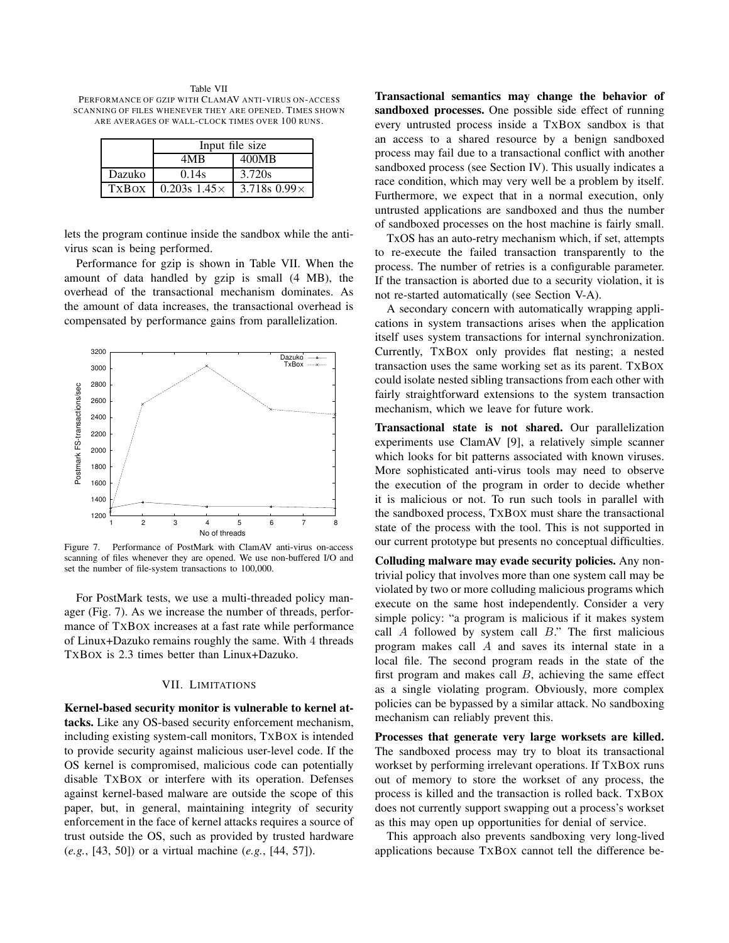Table VII PERFORMANCE OF GZIP WITH CLAMAV ANTI-VIRUS ON-ACCESS SCANNING OF FILES WHENEVER THEY ARE OPENED. TIMES SHOWN ARE AVERAGES OF WALL-CLOCK TIMES OVER 100 RUNS.

|        | Input file size        |                      |
|--------|------------------------|----------------------|
|        | 4MB                    | 400MB                |
| Dazuko | 0.14s                  | 3.720s               |
| TxBox  | $0.203s$ 1.45 $\times$ | 3.718s $0.99 \times$ |

lets the program continue inside the sandbox while the antivirus scan is being performed.

Performance for gzip is shown in Table VII. When the amount of data handled by gzip is small (4 MB), the overhead of the transactional mechanism dominates. As the amount of data increases, the transactional overhead is compensated by performance gains from parallelization.



Figure 7. Performance of PostMark with ClamAV anti-virus on-access scanning of files whenever they are opened. We use non-buffered I/O and set the number of file-system transactions to 100,000.

For PostMark tests, we use a multi-threaded policy manager (Fig. 7). As we increase the number of threads, performance of TXBOX increases at a fast rate while performance of Linux+Dazuko remains roughly the same. With 4 threads TXBOX is 2.3 times better than Linux+Dazuko.

#### VII. LIMITATIONS

**Kernel-based security monitor is vulnerable to kernel attacks.** Like any OS-based security enforcement mechanism, including existing system-call monitors, TXBOX is intended to provide security against malicious user-level code. If the OS kernel is compromised, malicious code can potentially disable TXBOX or interfere with its operation. Defenses against kernel-based malware are outside the scope of this paper, but, in general, maintaining integrity of security enforcement in the face of kernel attacks requires a source of trust outside the OS, such as provided by trusted hardware (*e.g.*, [43, 50]) or a virtual machine (*e.g.*, [44, 57]).

**Transactional semantics may change the behavior of sandboxed processes.** One possible side effect of running every untrusted process inside a TXBOX sandbox is that an access to a shared resource by a benign sandboxed process may fail due to a transactional conflict with another sandboxed process (see Section IV). This usually indicates a race condition, which may very well be a problem by itself. Furthermore, we expect that in a normal execution, only untrusted applications are sandboxed and thus the number of sandboxed processes on the host machine is fairly small.

TxOS has an auto-retry mechanism which, if set, attempts to re-execute the failed transaction transparently to the process. The number of retries is a configurable parameter. If the transaction is aborted due to a security violation, it is not re-started automatically (see Section V-A).

A secondary concern with automatically wrapping applications in system transactions arises when the application itself uses system transactions for internal synchronization. Currently, TXBOX only provides flat nesting; a nested transaction uses the same working set as its parent. TXBOX could isolate nested sibling transactions from each other with fairly straightforward extensions to the system transaction mechanism, which we leave for future work.

**Transactional state is not shared.** Our parallelization experiments use ClamAV [9], a relatively simple scanner which looks for bit patterns associated with known viruses. More sophisticated anti-virus tools may need to observe the execution of the program in order to decide whether it is malicious or not. To run such tools in parallel with the sandboxed process, TXBOX must share the transactional state of the process with the tool. This is not supported in our current prototype but presents no conceptual difficulties.

**Colluding malware may evade security policies.** Any nontrivial policy that involves more than one system call may be violated by two or more colluding malicious programs which execute on the same host independently. Consider a very simple policy: "a program is malicious if it makes system call  $A$  followed by system call  $B$ ." The first malicious program makes call A and saves its internal state in a local file. The second program reads in the state of the first program and makes call  $B$ , achieving the same effect as a single violating program. Obviously, more complex policies can be bypassed by a similar attack. No sandboxing mechanism can reliably prevent this.

**Processes that generate very large worksets are killed.** The sandboxed process may try to bloat its transactional workset by performing irrelevant operations. If TXBOX runs out of memory to store the workset of any process, the process is killed and the transaction is rolled back. TXBOX does not currently support swapping out a process's workset as this may open up opportunities for denial of service.

This approach also prevents sandboxing very long-lived applications because TXBOX cannot tell the difference be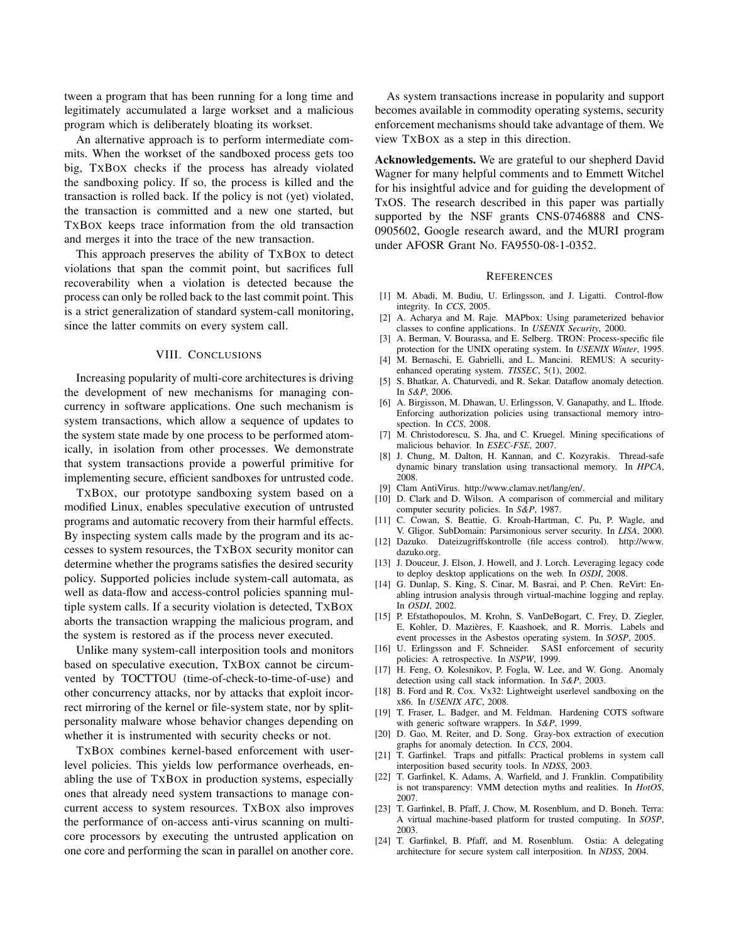tween a program that has been running for a long time and legitimately accumulated a large workset and a malicious program which is deliberately bloating its workset.

An alternative approach is to perform intermediate commits. When the workset of the sandboxed process gets too big, TXBOX checks if the process has already violated the sandboxing policy. If so, the process is killed and the transaction is rolled back. If the policy is not (yet) violated, the transaction is committed and a new one started, but TXBOX keeps trace information from the old transaction and merges it into the trace of the new transaction.

This approach preserves the ability of TXBOX to detect violations that span the commit point, but sacrifices full recoverability when a violation is detected because the process can only be rolled back to the last commit point. This is a strict generalization of standard system-call monitoring, since the latter commits on every system call.

## VIII. CONCLUSIONS

Increasing popularity of multi-core architectures is driving the development of new mechanisms for managing concurrency in software applications. One such mechanism is system transactions, which allow a sequence of updates to the system state made by one process to be performed atomically, in isolation from other processes. We demonstrate that system transactions provide a powerful primitive for implementing secure, efficient sandboxes for untrusted code.

TXBOX, our prototype sandboxing system based on a modified Linux, enables speculative execution of untrusted programs and automatic recovery from their harmful effects. By inspecting system calls made by the program and its accesses to system resources, the TXBOX security monitor can determine whether the programs satisfies the desired security policy. Supported policies include system-call automata, as well as data-flow and access-control policies spanning multiple system calls. If a security violation is detected, TXBOX aborts the transaction wrapping the malicious program, and the system is restored as if the process never executed.

Unlike many system-call interposition tools and monitors based on speculative execution, TXBOX cannot be circumvented by TOCTTOU (time-of-check-to-time-of-use) and other concurrency attacks, nor by attacks that exploit incorrect mirroring of the kernel or file-system state, nor by splitpersonality malware whose behavior changes depending on whether it is instrumented with security checks or not.

TXBOX combines kernel-based enforcement with userlevel policies. This yields low performance overheads, enabling the use of TXBOX in production systems, especially ones that already need system transactions to manage concurrent access to system resources. TXBOX also improves the performance of on-access anti-virus scanning on multicore processors by executing the untrusted application on one core and performing the scan in parallel on another core.

As system transactions increase in popularity and support becomes available in commodity operating systems, security enforcement mechanisms should take advantage of them. We view TXBOX as a step in this direction.

**Acknowledgements.** We are grateful to our shepherd David Wagner for many helpful comments and to Emmett Witchel for his insightful advice and for guiding the development of TxOS. The research described in this paper was partially supported by the NSF grants CNS-0746888 and CNS-0905602, Google research award, and the MURI program under AFOSR Grant No. FA9550-08-1-0352.

#### **REFERENCES**

- [1] M. Abadi, M. Budiu, U. Erlingsson, and J. Ligatti. Control-flow integrity. In *CCS*, 2005.
- [2] A. Acharya and M. Raje. MAPbox: Using parameterized behavior classes to confine applications. In *USENIX Security*, 2000.
- [3] A. Berman, V. Bourassa, and E. Selberg. TRON: Process-specific file protection for the UNIX operating system. In *USENIX Winter*, 1995.
- [4] M. Bernaschi, E. Gabrielli, and L. Mancini. REMUS: A securityenhanced operating system. *TISSEC*, 5(1), 2002.
- [5] S. Bhatkar, A. Chaturvedi, and R. Sekar. Dataflow anomaly detection. In *S&P*, 2006.
- [6] A. Birgisson, M. Dhawan, U. Erlingsson, V. Ganapathy, and L. Iftode. Enforcing authorization policies using transactional memory introspection. In *CCS*, 2008.
- [7] M. Christodorescu, S. Jha, and C. Kruegel. Mining specifications of malicious behavior. In *ESEC-FSE*, 2007.
- [8] J. Chung, M. Dalton, H. Kannan, and C. Kozyrakis. Thread-safe dynamic binary translation using transactional memory. In *HPCA*, 2008.
- [9] Clam AntiVirus. http://www.clamav.net/lang/en/.
- [10] D. Clark and D. Wilson. A comparison of commercial and military computer security policies. In *S&P*, 1987.
- [11] C. Cowan, S. Beattie, G. Kroah-Hartman, C. Pu, P. Wagle, and V. Gligor. SubDomain: Parsimonious server security. In *LISA*, 2000.
- [12] Dazuko. Dateizugriffskontrolle (file access control). http://www. dazuko.org.
- [13] J. Douceur, J. Elson, J. Howell, and J. Lorch. Leveraging legacy code to deploy desktop applications on the web. In *OSDI*, 2008.
- [14] G. Dunlap, S. King, S. Cinar, M. Basrai, and P. Chen. ReVirt: Enabling intrusion analysis through virtual-machine logging and replay. In *OSDI*, 2002.
- [15] P. Efstathopoulos, M. Krohn, S. VanDeBogart, C. Frey, D. Ziegler, E. Kohler, D. Mazières, F. Kaashoek, and R. Morris. Labels and event processes in the Asbestos operating system. In *SOSP*, 2005.
- [16] U. Erlingsson and F. Schneider. SASI enforcement of security policies: A retrospective. In *NSPW*, 1999.
- [17] H. Feng, O. Kolesnikov, P. Fogla, W. Lee, and W. Gong. Anomaly detection using call stack information. In *S&P*, 2003.
- [18] B. Ford and R. Cox. Vx32: Lightweight userlevel sandboxing on the x86. In *USENIX ATC*, 2008.
- [19] T. Fraser, L. Badger, and M. Feldman. Hardening COTS software with generic software wrappers. In *S&P*, 1999.
- [20] D. Gao, M. Reiter, and D. Song. Gray-box extraction of execution graphs for anomaly detection. In *CCS*, 2004.
- [21] T. Garfinkel. Traps and pitfalls: Practical problems in system call interposition based security tools. In *NDSS*, 2003.
- [22] T. Garfinkel, K. Adams, A. Warfield, and J. Franklin. Compatibility is not transparency: VMM detection myths and realities. In *HotOS*, 2007.
- [23] T. Garfinkel, B. Pfaff, J. Chow, M. Rosenblum, and D. Boneh. Terra: A virtual machine-based platform for trusted computing. In *SOSP*, 2003.
- [24] T. Garfinkel, B. Pfaff, and M. Rosenblum. Ostia: A delegating architecture for secure system call interposition. In *NDSS*, 2004.